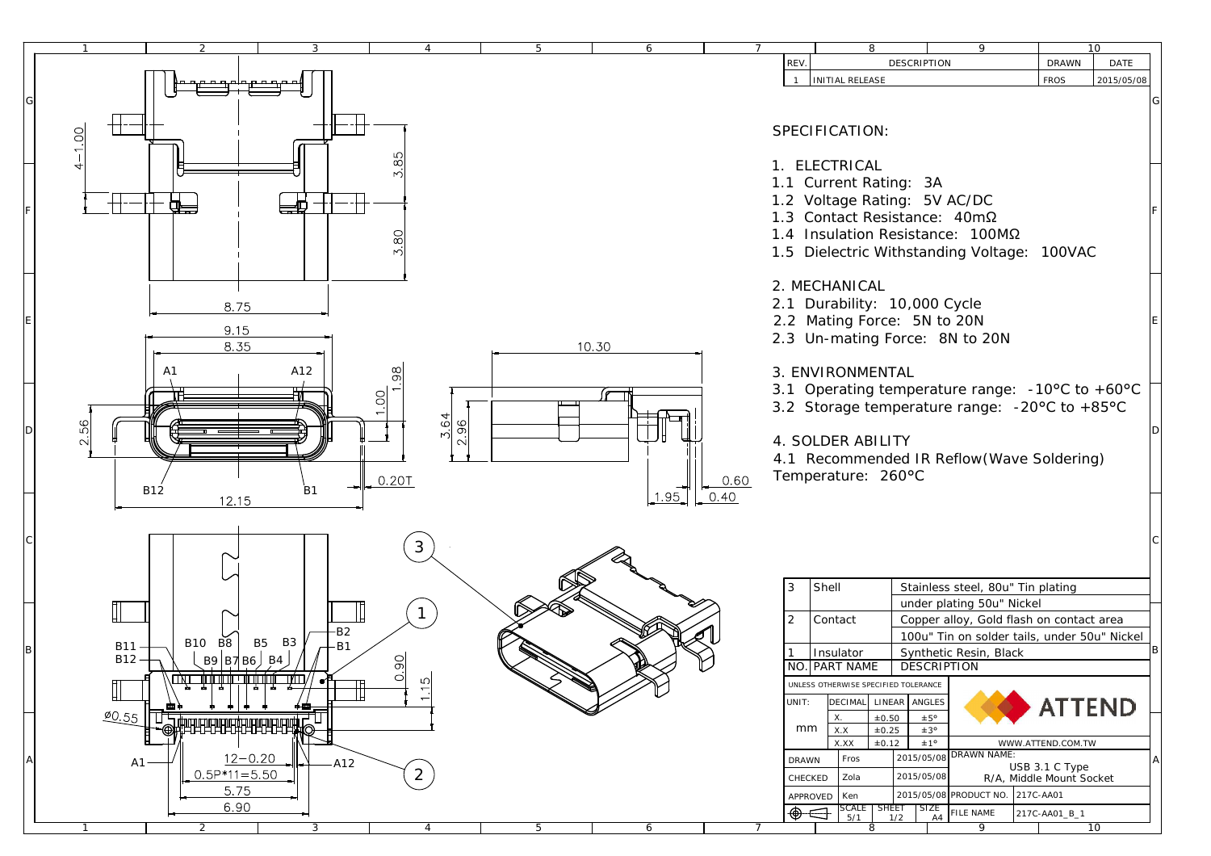